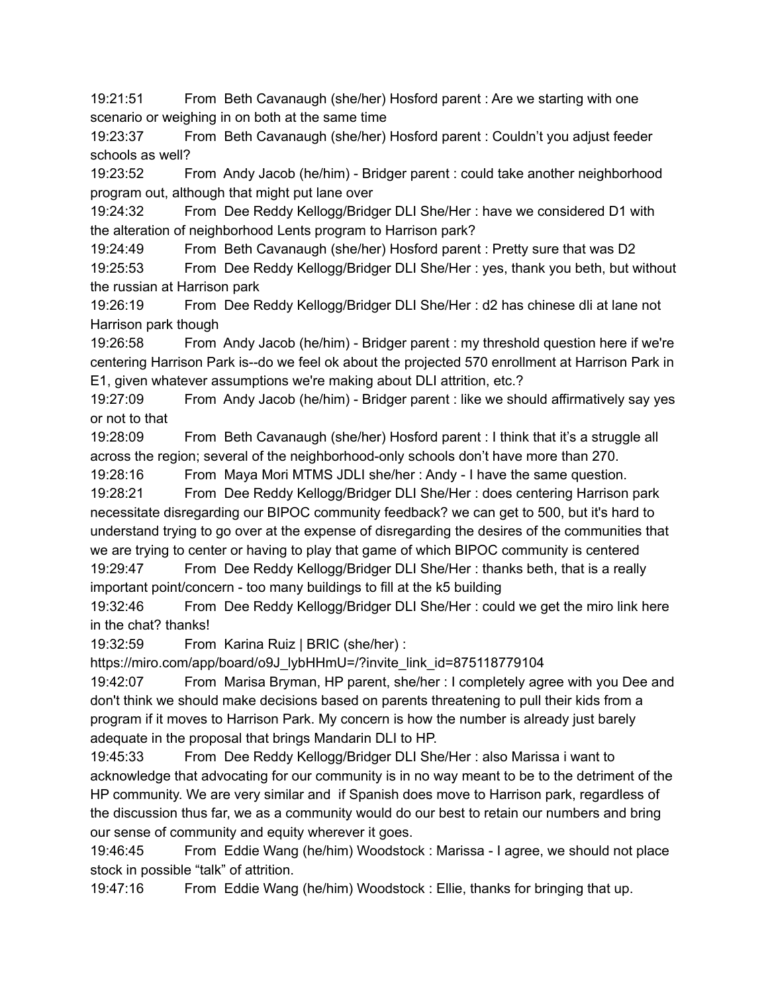19:21:51 From Beth Cavanaugh (she/her) Hosford parent : Are we starting with one scenario or weighing in on both at the same time

19:23:37 From Beth Cavanaugh (she/her) Hosford parent : Couldn't you adjust feeder schools as well?

19:23:52 From Andy Jacob (he/him) - Bridger parent : could take another neighborhood program out, although that might put lane over

19:24:32 From Dee Reddy Kellogg/Bridger DLI She/Her : have we considered D1 with the alteration of neighborhood Lents program to Harrison park?

19:24:49 From Beth Cavanaugh (she/her) Hosford parent : Pretty sure that was D2

19:25:53 From Dee Reddy Kellogg/Bridger DLI She/Her : yes, thank you beth, but without the russian at Harrison park

19:26:19 From Dee Reddy Kellogg/Bridger DLI She/Her : d2 has chinese dli at lane not Harrison park though

19:26:58 From Andy Jacob (he/him) - Bridger parent : my threshold question here if we're centering Harrison Park is--do we feel ok about the projected 570 enrollment at Harrison Park in E1, given whatever assumptions we're making about DLI attrition, etc.?

19:27:09 From Andy Jacob (he/him) - Bridger parent : like we should affirmatively say yes or not to that

19:28:09 From Beth Cavanaugh (she/her) Hosford parent : I think that it's a struggle all across the region; several of the neighborhood-only schools don't have more than 270.

19:28:16 From Maya Mori MTMS JDLI she/her : Andy - I have the same question.

19:28:21 From Dee Reddy Kellogg/Bridger DLI She/Her : does centering Harrison park necessitate disregarding our BIPOC community feedback? we can get to 500, but it's hard to understand trying to go over at the expense of disregarding the desires of the communities that we are trying to center or having to play that game of which BIPOC community is centered

19:29:47 From Dee Reddy Kellogg/Bridger DLI She/Her : thanks beth, that is a really important point/concern - too many buildings to fill at the k5 building

19:32:46 From Dee Reddy Kellogg/Bridger DLI She/Her : could we get the miro link here in the chat? thanks!

19:32:59 From Karina Ruiz | BRIC (she/her) :

https://miro.com/app/board/o9J\_lybHHmU=/?invite\_link\_id=875118779104

19:42:07 From Marisa Bryman, HP parent, she/her : I completely agree with you Dee and don't think we should make decisions based on parents threatening to pull their kids from a program if it moves to Harrison Park. My concern is how the number is already just barely adequate in the proposal that brings Mandarin DLI to HP.

19:45:33 From Dee Reddy Kellogg/Bridger DLI She/Her : also Marissa i want to acknowledge that advocating for our community is in no way meant to be to the detriment of the HP community. We are very similar and if Spanish does move to Harrison park, regardless of the discussion thus far, we as a community would do our best to retain our numbers and bring our sense of community and equity wherever it goes.

19:46:45 From Eddie Wang (he/him) Woodstock : Marissa - I agree, we should not place stock in possible "talk" of attrition.

19:47:16 From Eddie Wang (he/him) Woodstock : Ellie, thanks for bringing that up.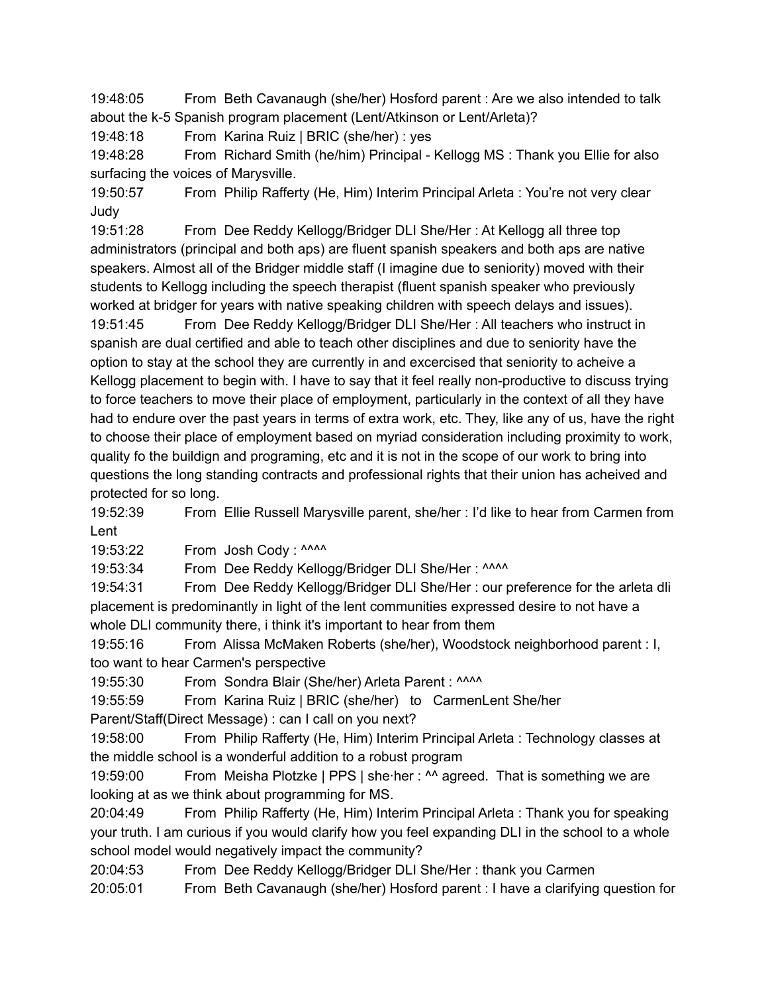19:48:05 From Beth Cavanaugh (she/her) Hosford parent : Are we also intended to talk about the k-5 Spanish program placement (Lent/Atkinson or Lent/Arleta)?

19:48:18 From Karina Ruiz | BRIC (she/her) : yes

19:48:28 From Richard Smith (he/him) Principal - Kellogg MS : Thank you Ellie for also surfacing the voices of Marysville.

19:50:57 From Philip Rafferty (He, Him) Interim Principal Arleta : You're not very clear Judy

19:51:28 From Dee Reddy Kellogg/Bridger DLI She/Her : At Kellogg all three top administrators (principal and both aps) are fluent spanish speakers and both aps are native speakers. Almost all of the Bridger middle staff (I imagine due to seniority) moved with their students to Kellogg including the speech therapist (fluent spanish speaker who previously worked at bridger for years with native speaking children with speech delays and issues).

19:51:45 From Dee Reddy Kellogg/Bridger DLI She/Her : All teachers who instruct in spanish are dual certified and able to teach other disciplines and due to seniority have the option to stay at the school they are currently in and excercised that seniority to acheive a Kellogg placement to begin with. I have to say that it feel really non-productive to discuss trying to force teachers to move their place of employment, particularly in the context of all they have had to endure over the past years in terms of extra work, etc. They, like any of us, have the right to choose their place of employment based on myriad consideration including proximity to work, quality fo the buildign and programing, etc and it is not in the scope of our work to bring into questions the long standing contracts and professional rights that their union has acheived and protected for so long.

19:52:39 From Ellie Russell Marysville parent, she/her : I'd like to hear from Carmen from Lent

19:53:22 From Josh Cody : ^^^^

19:53:34 From Dee Reddy Kellogg/Bridger DLI She/Her: ^^^^

19:54:31 From Dee Reddy Kellogg/Bridger DLI She/Her : our preference for the arleta dli placement is predominantly in light of the lent communities expressed desire to not have a whole DLI community there, i think it's important to hear from them

19:55:16 From Alissa McMaken Roberts (she/her), Woodstock neighborhood parent : I, too want to hear Carmen's perspective

19:55:30 From Sondra Blair (She/her) Arleta Parent : ^^^^

19:55:59 From Karina Ruiz | BRIC (she/her) to CarmenLent She/her

Parent/Staff(Direct Message) : can I call on you next?

19:58:00 From Philip Rafferty (He, Him) Interim Principal Arleta : Technology classes at the middle school is a wonderful addition to a robust program

19:59:00 From Meisha Plotzke | PPS | she∙her : ^^ agreed. That is something we are looking at as we think about programming for MS.

20:04:49 From Philip Rafferty (He, Him) Interim Principal Arleta : Thank you for speaking your truth. I am curious if you would clarify how you feel expanding DLI in the school to a whole school model would negatively impact the community?

20:04:53 From Dee Reddy Kellogg/Bridger DLI She/Her : thank you Carmen

20:05:01 From Beth Cavanaugh (she/her) Hosford parent : I have a clarifying question for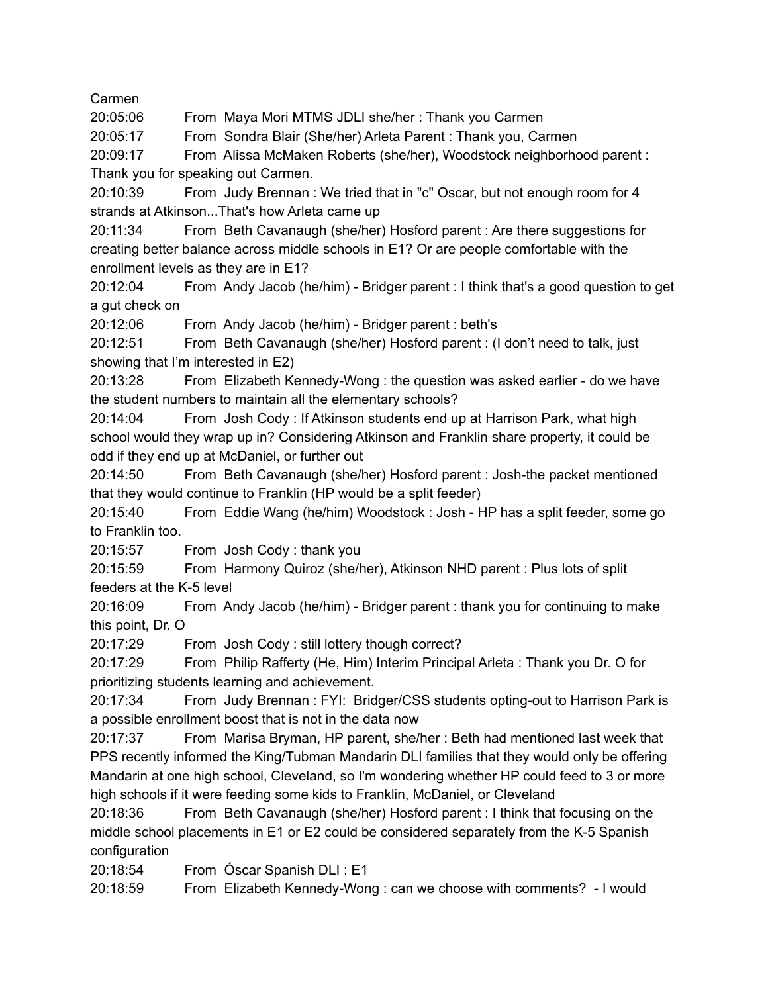Carmen

20:05:06 From Maya Mori MTMS JDLI she/her : Thank you Carmen

20:05:17 From Sondra Blair (She/her) Arleta Parent : Thank you, Carmen

20:09:17 From Alissa McMaken Roberts (she/her), Woodstock neighborhood parent : Thank you for speaking out Carmen.

20:10:39 From Judy Brennan : We tried that in "c" Oscar, but not enough room for 4 strands at Atkinson...That's how Arleta came up

20:11:34 From Beth Cavanaugh (she/her) Hosford parent : Are there suggestions for creating better balance across middle schools in E1? Or are people comfortable with the enrollment levels as they are in E1?

20:12:04 From Andy Jacob (he/him) - Bridger parent : I think that's a good question to get a gut check on

20:12:06 From Andy Jacob (he/him) - Bridger parent : beth's

20:12:51 From Beth Cavanaugh (she/her) Hosford parent : (I don't need to talk, just showing that I'm interested in E2)

20:13:28 From Elizabeth Kennedy-Wong : the question was asked earlier - do we have the student numbers to maintain all the elementary schools?

20:14:04 From Josh Cody : If Atkinson students end up at Harrison Park, what high school would they wrap up in? Considering Atkinson and Franklin share property, it could be odd if they end up at McDaniel, or further out

20:14:50 From Beth Cavanaugh (she/her) Hosford parent : Josh-the packet mentioned that they would continue to Franklin (HP would be a split feeder)

20:15:40 From Eddie Wang (he/him) Woodstock : Josh - HP has a split feeder, some go to Franklin too.

20:15:57 From Josh Cody : thank you

20:15:59 From Harmony Quiroz (she/her), Atkinson NHD parent : Plus lots of split feeders at the K-5 level

20:16:09 From Andy Jacob (he/him) - Bridger parent : thank you for continuing to make this point, Dr. O

20:17:29 From Josh Cody : still lottery though correct?

20:17:29 From Philip Rafferty (He, Him) Interim Principal Arleta : Thank you Dr. O for prioritizing students learning and achievement.

20:17:34 From Judy Brennan : FYI: Bridger/CSS students opting-out to Harrison Park is a possible enrollment boost that is not in the data now

20:17:37 From Marisa Bryman, HP parent, she/her : Beth had mentioned last week that PPS recently informed the King/Tubman Mandarin DLI families that they would only be offering Mandarin at one high school, Cleveland, so I'm wondering whether HP could feed to 3 or more high schools if it were feeding some kids to Franklin, McDaniel, or Cleveland

20:18:36 From Beth Cavanaugh (she/her) Hosford parent : I think that focusing on the middle school placements in E1 or E2 could be considered separately from the K-5 Spanish configuration

20:18:54 From Óscar Spanish DLI : E1

20:18:59 From Elizabeth Kennedy-Wong : can we choose with comments? - I would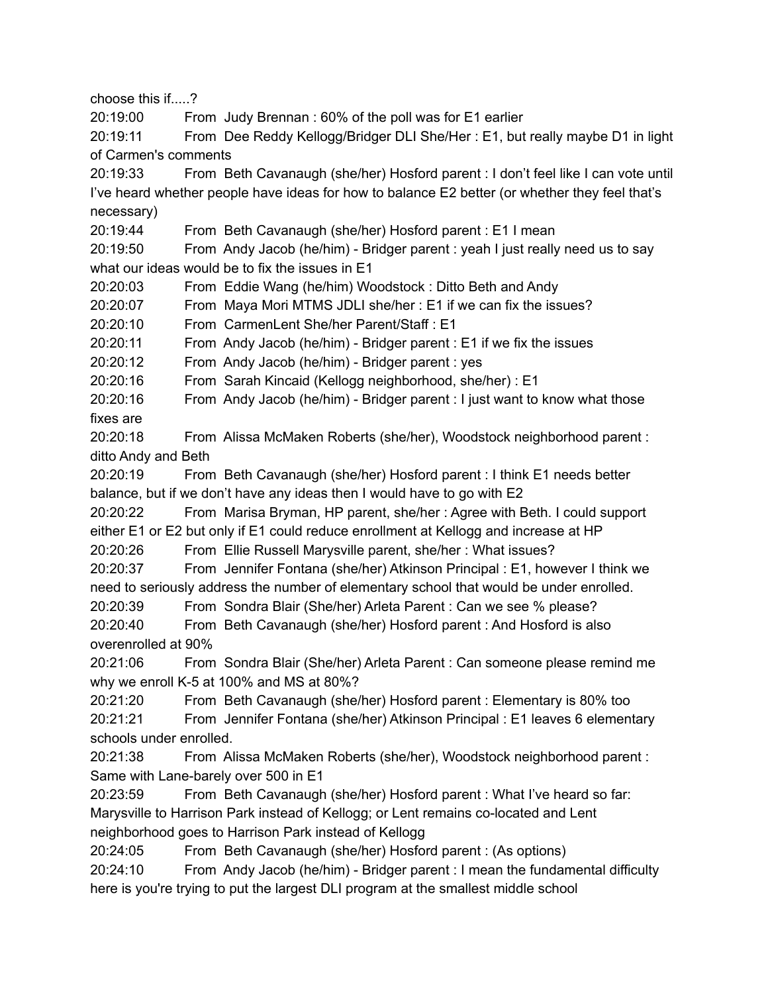choose this if.....?

20:19:00 From Judy Brennan : 60% of the poll was for E1 earlier

20:19:11 From Dee Reddy Kellogg/Bridger DLI She/Her : E1, but really maybe D1 in light of Carmen's comments

20:19:33 From Beth Cavanaugh (she/her) Hosford parent : I don't feel like I can vote until I've heard whether people have ideas for how to balance E2 better (or whether they feel that's necessary)

20:19:44 From Beth Cavanaugh (she/her) Hosford parent : E1 I mean

20:19:50 From Andy Jacob (he/him) - Bridger parent : yeah I just really need us to say what our ideas would be to fix the issues in E1

20:20:03 From Eddie Wang (he/him) Woodstock : Ditto Beth and Andy

20:20:07 From Maya Mori MTMS JDLI she/her : E1 if we can fix the issues?

20:20:10 From CarmenLent She/her Parent/Staff : E1

20:20:11 From Andy Jacob (he/him) - Bridger parent : E1 if we fix the issues

20:20:12 From Andy Jacob (he/him) - Bridger parent : yes

20:20:16 From Sarah Kincaid (Kellogg neighborhood, she/her) : E1

20:20:16 From Andy Jacob (he/him) - Bridger parent : I just want to know what those fixes are

20:20:18 From Alissa McMaken Roberts (she/her), Woodstock neighborhood parent : ditto Andy and Beth

20:20:19 From Beth Cavanaugh (she/her) Hosford parent : I think E1 needs better balance, but if we don't have any ideas then I would have to go with E2

20:20:22 From Marisa Bryman, HP parent, she/her : Agree with Beth. I could support either E1 or E2 but only if E1 could reduce enrollment at Kellogg and increase at HP

20:20:26 From Ellie Russell Marysville parent, she/her : What issues?

20:20:37 From Jennifer Fontana (she/her) Atkinson Principal : E1, however I think we need to seriously address the number of elementary school that would be under enrolled.

20:20:39 From Sondra Blair (She/her) Arleta Parent : Can we see % please?

20:20:40 From Beth Cavanaugh (she/her) Hosford parent : And Hosford is also overenrolled at 90%

20:21:06 From Sondra Blair (She/her) Arleta Parent : Can someone please remind me why we enroll K-5 at 100% and MS at 80%?

20:21:20 From Beth Cavanaugh (she/her) Hosford parent : Elementary is 80% too

20:21:21 From Jennifer Fontana (she/her) Atkinson Principal : E1 leaves 6 elementary schools under enrolled.

20:21:38 From Alissa McMaken Roberts (she/her), Woodstock neighborhood parent : Same with Lane-barely over 500 in E1

20:23:59 From Beth Cavanaugh (she/her) Hosford parent : What I've heard so far: Marysville to Harrison Park instead of Kellogg; or Lent remains co-located and Lent neighborhood goes to Harrison Park instead of Kellogg

20:24:05 From Beth Cavanaugh (she/her) Hosford parent : (As options)

20:24:10 From Andy Jacob (he/him) - Bridger parent : I mean the fundamental difficulty here is you're trying to put the largest DLI program at the smallest middle school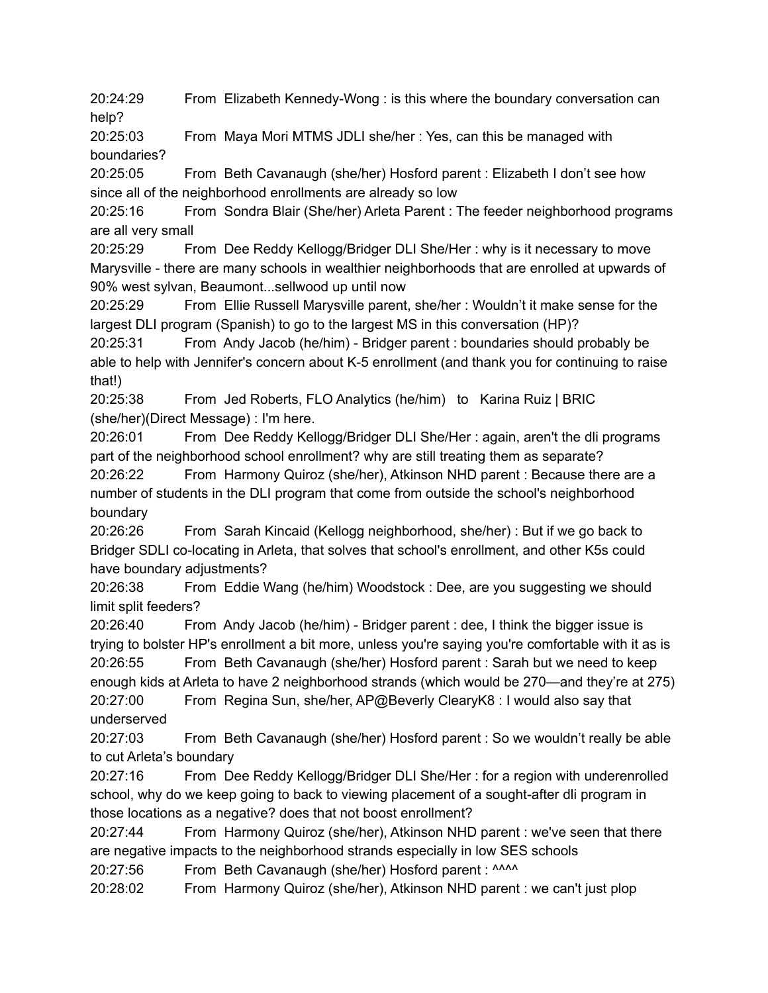20:24:29 From Elizabeth Kennedy-Wong : is this where the boundary conversation can help?

20:25:03 From Maya Mori MTMS JDLI she/her : Yes, can this be managed with boundaries?

20:25:05 From Beth Cavanaugh (she/her) Hosford parent : Elizabeth I don't see how since all of the neighborhood enrollments are already so low

20:25:16 From Sondra Blair (She/her) Arleta Parent : The feeder neighborhood programs are all very small

20:25:29 From Dee Reddy Kellogg/Bridger DLI She/Her : why is it necessary to move Marysville - there are many schools in wealthier neighborhoods that are enrolled at upwards of 90% west sylvan, Beaumont...sellwood up until now

20:25:29 From Ellie Russell Marysville parent, she/her : Wouldn't it make sense for the largest DLI program (Spanish) to go to the largest MS in this conversation (HP)?

20:25:31 From Andy Jacob (he/him) - Bridger parent : boundaries should probably be able to help with Jennifer's concern about K-5 enrollment (and thank you for continuing to raise that!)

20:25:38 From Jed Roberts, FLO Analytics (he/him) to Karina Ruiz | BRIC (she/her)(Direct Message) : I'm here.

20:26:01 From Dee Reddy Kellogg/Bridger DLI She/Her : again, aren't the dli programs part of the neighborhood school enrollment? why are still treating them as separate? 20:26:22 From Harmony Quiroz (she/her), Atkinson NHD parent : Because there are a number of students in the DLI program that come from outside the school's neighborhood boundary

20:26:26 From Sarah Kincaid (Kellogg neighborhood, she/her) : But if we go back to Bridger SDLI co-locating in Arleta, that solves that school's enrollment, and other K5s could have boundary adjustments?

20:26:38 From Eddie Wang (he/him) Woodstock : Dee, are you suggesting we should limit split feeders?

20:26:40 From Andy Jacob (he/him) - Bridger parent : dee, I think the bigger issue is trying to bolster HP's enrollment a bit more, unless you're saying you're comfortable with it as is 20:26:55 From Beth Cavanaugh (she/her) Hosford parent : Sarah but we need to keep enough kids at Arleta to have 2 neighborhood strands (which would be 270—and they're at 275) 20:27:00 From Regina Sun, she/her, AP@Beverly ClearyK8 : I would also say that underserved

20:27:03 From Beth Cavanaugh (she/her) Hosford parent : So we wouldn't really be able to cut Arleta's boundary

20:27:16 From Dee Reddy Kellogg/Bridger DLI She/Her : for a region with underenrolled school, why do we keep going to back to viewing placement of a sought-after dli program in those locations as a negative? does that not boost enrollment?

20:27:44 From Harmony Quiroz (she/her), Atkinson NHD parent : we've seen that there are negative impacts to the neighborhood strands especially in low SES schools

20:27:56 From Beth Cavanaugh (she/her) Hosford parent : ^^^^

20:28:02 From Harmony Quiroz (she/her), Atkinson NHD parent : we can't just plop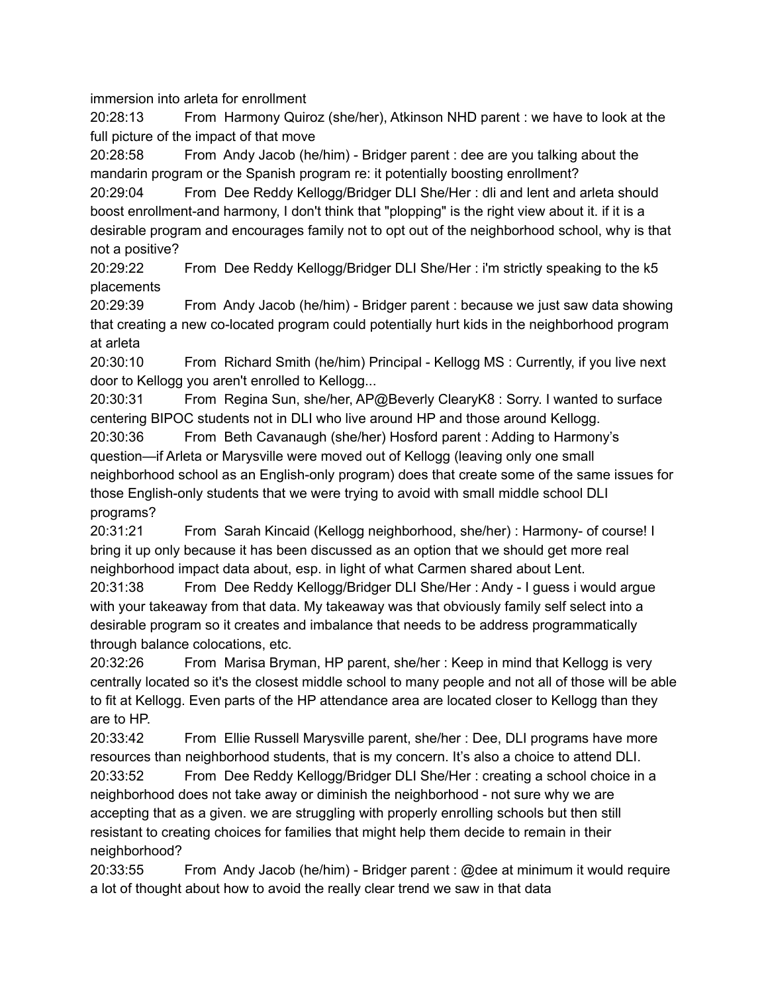immersion into arleta for enrollment

20:28:13 From Harmony Quiroz (she/her), Atkinson NHD parent : we have to look at the full picture of the impact of that move

20:28:58 From Andy Jacob (he/him) - Bridger parent : dee are you talking about the mandarin program or the Spanish program re: it potentially boosting enrollment?

20:29:04 From Dee Reddy Kellogg/Bridger DLI She/Her : dli and lent and arleta should boost enrollment-and harmony, I don't think that "plopping" is the right view about it. if it is a desirable program and encourages family not to opt out of the neighborhood school, why is that not a positive?

20:29:22 From Dee Reddy Kellogg/Bridger DLI She/Her : i'm strictly speaking to the k5 placements

20:29:39 From Andy Jacob (he/him) - Bridger parent : because we just saw data showing that creating a new co-located program could potentially hurt kids in the neighborhood program at arleta

20:30:10 From Richard Smith (he/him) Principal - Kellogg MS : Currently, if you live next door to Kellogg you aren't enrolled to Kellogg...

20:30:31 From Regina Sun, she/her, AP@Beverly ClearyK8 : Sorry. I wanted to surface centering BIPOC students not in DLI who live around HP and those around Kellogg.

20:30:36 From Beth Cavanaugh (she/her) Hosford parent : Adding to Harmony's question—if Arleta or Marysville were moved out of Kellogg (leaving only one small neighborhood school as an English-only program) does that create some of the same issues for those English-only students that we were trying to avoid with small middle school DLI programs?

20:31:21 From Sarah Kincaid (Kellogg neighborhood, she/her) : Harmony- of course! I bring it up only because it has been discussed as an option that we should get more real neighborhood impact data about, esp. in light of what Carmen shared about Lent.

20:31:38 From Dee Reddy Kellogg/Bridger DLI She/Her : Andy - I guess i would argue with your takeaway from that data. My takeaway was that obviously family self select into a desirable program so it creates and imbalance that needs to be address programmatically through balance colocations, etc.

20:32:26 From Marisa Bryman, HP parent, she/her : Keep in mind that Kellogg is very centrally located so it's the closest middle school to many people and not all of those will be able to fit at Kellogg. Even parts of the HP attendance area are located closer to Kellogg than they are to HP.

20:33:42 From Ellie Russell Marysville parent, she/her : Dee, DLI programs have more resources than neighborhood students, that is my concern. It's also a choice to attend DLI.

20:33:52 From Dee Reddy Kellogg/Bridger DLI She/Her : creating a school choice in a neighborhood does not take away or diminish the neighborhood - not sure why we are accepting that as a given. we are struggling with properly enrolling schools but then still resistant to creating choices for families that might help them decide to remain in their neighborhood?

20:33:55 From Andy Jacob (he/him) - Bridger parent : @dee at minimum it would require a lot of thought about how to avoid the really clear trend we saw in that data